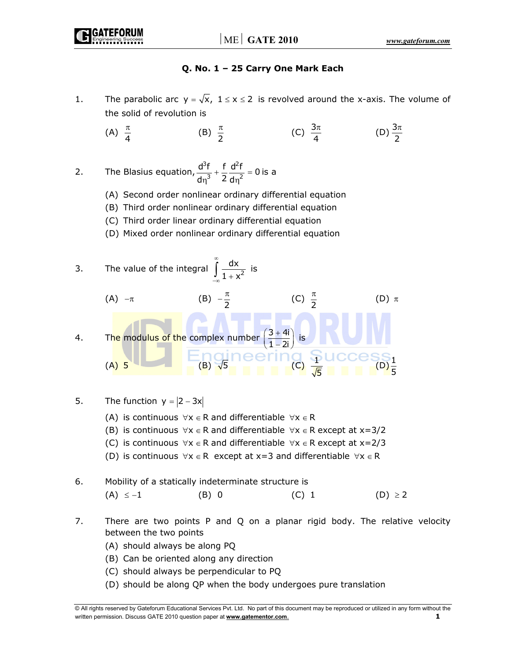# **Q. No. 1 – 25 Carry One Mark Each**

- 1. The parabolic arc  $y = \sqrt{x}$ ,  $1 \le x \le 2$  is revolved around the x-axis. The volume of the solid of revolution is
	- (A)  $\frac{\pi}{4}$ (B)  $\frac{\pi}{2}$  $\frac{\pi}{2}$  (C)  $\frac{3\pi}{4}$  (D)  $\frac{3}{2}$ 2 π

2. The Blasius equation,  $3f + d^2$  $\frac{d^3f}{dx^3} + \frac{f}{2} \frac{d^2f}{dx^2} = 0$  $rac{a}{d\eta^3} + \frac{1}{2} \frac{a}{d\eta^2} = 0$  is a

- (A) Second order nonlinear ordinary differential equation
- (B) Third order nonlinear ordinary differential equation
- (C) Third order linear ordinary differential equation
- (D) Mixed order nonlinear ordinary differential equation
- 3. The value of the integral  $\int_{1+\sqrt{2}}^{x} \frac{dx}{1+x^2}$  $1 + x$ ∞  $\int_{-\infty}^{\infty} \frac{dx}{1 + x^2}$  is (A)  $-\pi$  (B)  $-\frac{\pi}{2}$ (C)  $\frac{\pi}{2}$ <sup>π</sup> (D) <sup>π</sup> 4. The modulus of the complex number  $\left(\frac{3+4i}{1-2i}\right)$  $\left(\frac{3+4i}{1-2i}\right)$  is (A)  $5$  (B)  $\sqrt{5}$  (B)  $\sqrt{5}$  (C)  $\frac{4}{\sqrt{5}}$  (D)  $\frac{1}{\sqrt{5}}$  $\frac{1}{5}$

5. The function  $y = |2 - 3x|$ 

- (A) is continuous  $\forall x \in R$  and differentiable  $\forall x \in R$
- (B) is continuous  $\forall x \in R$  and differentiable  $\forall x \in R$  except at  $x=3/2$
- (C) is continuous  $\forall x \in R$  and differentiable  $\forall x \in R$  except at  $x=2/3$
- (D) is continuous  $\forall x \in R$  except at x=3 and differentiable  $\forall x \in R$
- 6. Mobility of a statically indeterminate structure is  $(A)$  ≤ −1 (B) 0 (C) 1 (D) ≥ 2
- 7. There are two points P and Q on a planar rigid body. The relative velocity between the two points
	- (A) should always be along PQ
	- (B) Can be oriented along any direction
	- (C) should always be perpendicular to PQ
	- (D) should be along QP when the body undergoes pure translation

<sup>©</sup> All rights reserved by Gateforum Educational Services Pvt. Ltd. No part of this document may be reproduced or utilized in any form without the written permission. Discuss GATE 2010 question paper at **www.gatementor.com**.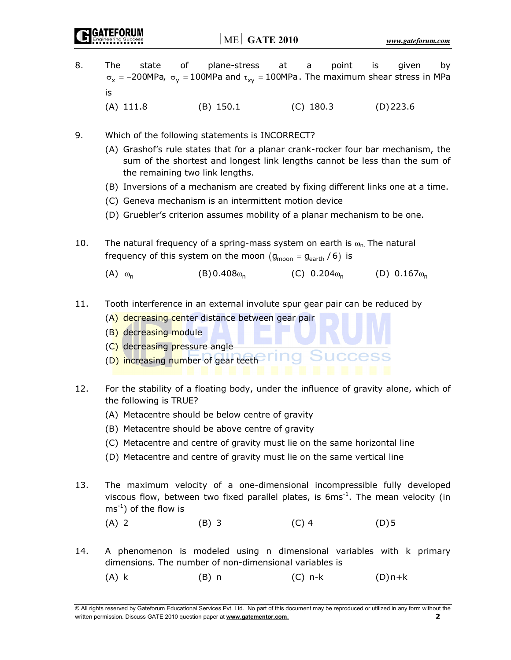- 8. The state of plane-stress at a point is given by  $\sigma_x$  = -200MPa,  $\sigma_y$  = 100MPa and  $\tau_{xy}$  = 100MPa. The maximum shear stress in MPa is
	- (A) 111.8 (B) 150.1 (C) 180.3 (D) 223.6
- 9. Which of the following statements is INCORRECT?
	- (A) Grashof's rule states that for a planar crank-rocker four bar mechanism, the sum of the shortest and longest link lengths cannot be less than the sum of the remaining two link lengths.
	- (B) Inversions of a mechanism are created by fixing different links one at a time.
	- (C) Geneva mechanism is an intermittent motion device
	- (D) Gruebler's criterion assumes mobility of a planar mechanism to be one.
- 10. The natural frequency of a spring-mass system on earth is  $\omega_{n}$ . The natural frequency of this system on the moon  $(g_{\text{moon}} = g_{\text{earth}} / 6)$  is
	- (A)  $\omega_n$  (B)0.408 $\omega_n$  (C) 0.204 $\omega_n$  (D) 0.167 $\omega_n$
- 11. Tooth interference in an external involute spur gear pair can be reduced by
	- (A) decreasing center distance between gear pair
	- (B) decreasing module
	- (C) decreasing pressure angle
	- (D) increasing number of gear teeth
- 12. For the stability of a floating body, under the influence of gravity alone, which of the following is TRUE?
	- (A) Metacentre should be below centre of gravity
	- (B) Metacentre should be above centre of gravity
	- (C) Metacentre and centre of gravity must lie on the same horizontal line
	- (D) Metacentre and centre of gravity must lie on the same vertical line
- 13. The maximum velocity of a one-dimensional incompressible fully developed viscous flow, between two fixed parallel plates, is  $6ms<sup>-1</sup>$ . The mean velocity (in  $ms^{-1}$ ) of the flow is
- (A) 2 (B) 3 (C) 4 (D) 5
- 14. A phenomenon is modeled using n dimensional variables with k primary dimensions. The number of non-dimensional variables is
	- (A) k (B) n (C) n-k (D) n+k

© All rights reserved by Gateforum Educational Services Pvt. Ltd. No part of this document may be reproduced or utilized in any form without the written permission. Discuss GATE 2010 question paper at **www.gatementor.com**. **2**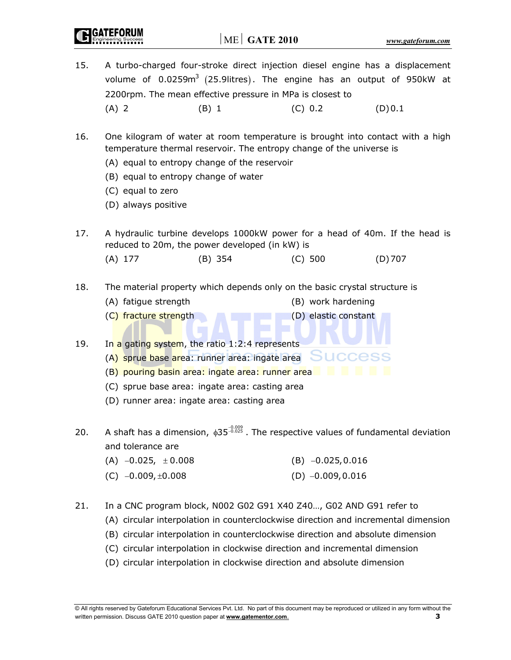- 15. A turbo-charged four-stroke direct injection diesel engine has a displacement volume of  $0.0259m<sup>3</sup>$  (25.9litres). The engine has an output of 950kW at 2200rpm. The mean effective pressure in MPa is closest to (A) 2 (B) 1 (C) 0.2 (D) 0.1
- 16. One kilogram of water at room temperature is brought into contact with a high temperature thermal reservoir. The entropy change of the universe is
	- (A) equal to entropy change of the reservoir
	- (B) equal to entropy change of water
	- (C) equal to zero
	- (D) always positive
- 17. A hydraulic turbine develops 1000kW power for a head of 40m. If the head is reduced to 20m, the power developed (in kW) is
- (A) 177 (B) 354 (C) 500 (D) 707
- 18. The material property which depends only on the basic crystal structure is
	- (A) fatigue strength (B) work hardening
	- (C) fracture strength (D) elastic constant
- 19. In a gating system, the ratio 1:2:4 represents
	- (A) sprue base area: runner area: ingate area SUCCAS
	- (B) pouring basin area: ingate area: runner area
	- (C) sprue base area: ingate area: casting area
	- (D) runner area: ingate area: casting area
- 20. A shaft has a dimension,  $\phi$ 35<sup>-0.009</sup> . The respective values of fundamental deviation and tolerance are
	- (A)  $-0.025$ ,  $\pm 0.008$  (B)  $-0.025, 0.016$
	- (C)  $-0.009, \pm 0.008$  (D)  $-0.009, 0.016$
- 21. In a CNC program block, N002 G02 G91 X40 Z40…, G02 AND G91 refer to
	- (A) circular interpolation in counterclockwise direction and incremental dimension
	- (B) circular interpolation in counterclockwise direction and absolute dimension
	- (C) circular interpolation in clockwise direction and incremental dimension
	- (D) circular interpolation in clockwise direction and absolute dimension

<sup>©</sup> All rights reserved by Gateforum Educational Services Pvt. Ltd. No part of this document may be reproduced or utilized in any form without the written permission. Discuss GATE 2010 question paper at **www.gatementor.com**. **3**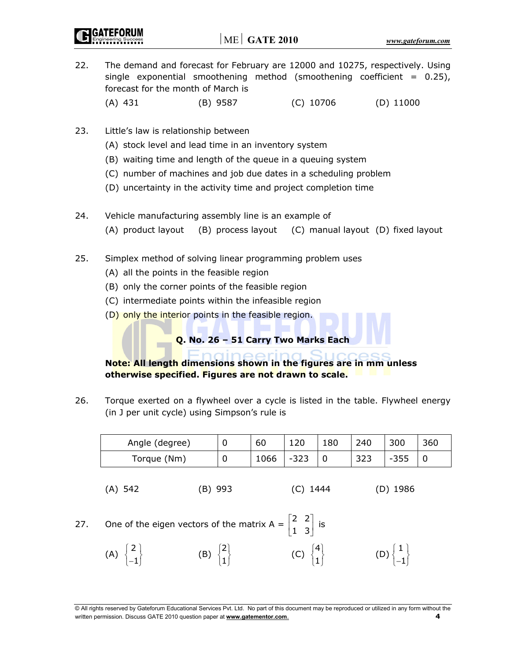- 22. The demand and forecast for February are 12000 and 10275, respectively. Using single exponential smoothening method (smoothening coefficient  $= 0.25$ ), forecast for the month of March is (A) 431 (B) 9587 (C) 10706 (D) 11000
- 23. Little's law is relationship between
	- (A) stock level and lead time in an inventory system
	- (B) waiting time and length of the queue in a queuing system
	- (C) number of machines and job due dates in a scheduling problem
	- (D) uncertainty in the activity time and project completion time
- 24. Vehicle manufacturing assembly line is an example of (A) product layout (B) process layout (C) manual layout (D) fixed layout
- 25. Simplex method of solving linear programming problem uses
	- (A) all the points in the feasible region
	- (B) only the corner points of the feasible region
	- (C) intermediate points within the infeasible region
	- (D) only the interior points in the feasible region.

**Q. No. 26 – 51 Carry Two Marks Each** 

 **Note: All length dimensions shown in the figures are in mm unless otherwise specified. Figures are not drawn to scale.** 

26. Torque exerted on a flywheel over a cycle is listed in the table. Flywheel energy (in J per unit cycle) using Simpson's rule is

| Angle (degree) | C | 60   | 120    | 180 | 240 | 300    | 36C |
|----------------|---|------|--------|-----|-----|--------|-----|
| Torque (Nm)    | 0 | 1066 | $-323$ |     | 323 | $-355$ |     |

(A) 542 (B) 993 (C) 1444 (D) 1986

- 27. One of the eigen vectors of the matrix A =  $\begin{bmatrix} 2 & 2 \\ 2 & 3 \end{bmatrix}$  $\begin{bmatrix} 2 & 2 \\ 1 & 3 \end{bmatrix}$  is
- (A)  $\begin{Bmatrix} 2 \\ -1 \end{Bmatrix}$  (B)  $\begin{Bmatrix} 2 \\ 1 \end{Bmatrix}$  (C)  $\begin{Bmatrix} 4 \\ 1 \end{Bmatrix}$  $(D) \begin{Bmatrix} 1 \\ -1 \end{Bmatrix}$

<sup>©</sup> All rights reserved by Gateforum Educational Services Pvt. Ltd. No part of this document may be reproduced or utilized in any form without the written permission. Discuss GATE 2010 question paper at **www.gatementor.com**. **4**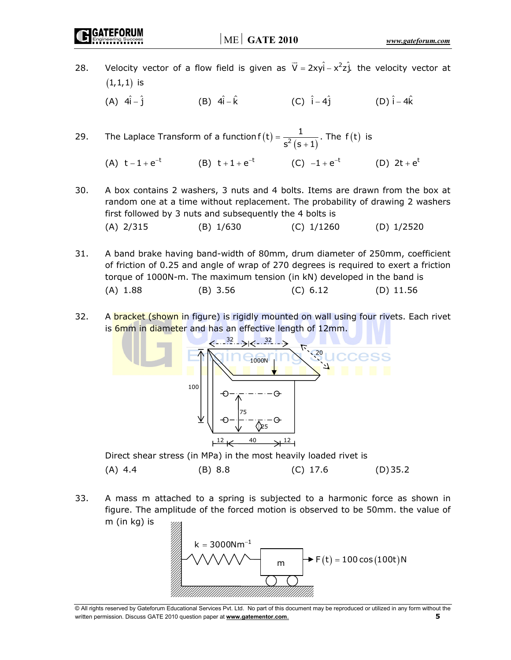**GATEFORUM** 

28. Velocity vector of a flow field is given as  $\vec{V} = 2xy\hat{i} - x^2z\hat{j}$ . the velocity vector at  $(1,1,1)$  is (A)  $4\hat{i} - \hat{j}$  (B)  $4\hat{i} - \hat{k}$  (C)  $\hat{i} - 4\hat{j}$  (D)  $\hat{i} - 4\hat{k}$ 

29. The Laplace Transform of a function  $f(t) = \frac{1}{s^2 (s + 1)}$ . The  $f(t)$  is

- (A)  $t-1+e^{-t}$  (B)  $t+1+e^{-t}$  (C)  $-1+e^{-t}$  (D)  $2t+e^{t}$
- 30. A box contains 2 washers, 3 nuts and 4 bolts. Items are drawn from the box at random one at a time without replacement. The probability of drawing 2 washers first followed by 3 nuts and subsequently the 4 bolts is (A) 2/315 (B) 1/630 (C) 1/1260 (D) 1/2520
- 31. A band brake having band-width of 80mm, drum diameter of 250mm, coefficient of friction of 0.25 and angle of wrap of 270 degrees is required to exert a friction torque of 1000N-m. The maximum tension (in kN) developed in the band is (A) 1.88 (B) 3.56 (C) 6.12 (D) 11.56
- 32. A bracket (shown in figure) is rigidly mounted on wall using four rivets. Each rivet is 6mm in diameter and has an effective length of 12mm.



(A) 4.4 (B) 8.8 (C) 17.6 (D) 35.2

33. A mass m attached to a spring is subjected to a harmonic force as shown in figure. The amplitude of the forced motion is observed to be 50mm. the value of m (in kg) is



<sup>©</sup> All rights reserved by Gateforum Educational Services Pvt. Ltd. No part of this document may be reproduced or utilized in any form without the written permission. Discuss GATE 2010 question paper at **www.gatementor.com**. **5**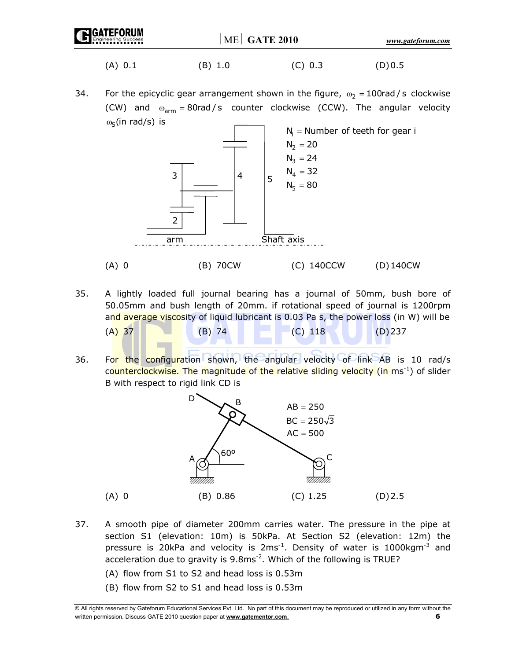| <b>IC CATEFORUM</b> | $ME$ GATE 2010 |     | www.gateforum.com |  |
|---------------------|----------------|-----|-------------------|--|
| A).                 | B.             | 'C) |                   |  |

34. For the epicyclic gear arrangement shown in the figure,  $\omega_2 = 100$ rad/s clockwise (CW) and  $\omega_{arm} = 80 \text{rad/s}$  counter clockwise (CCW). The angular velocity  $ω<sub>5</sub>$ (in rad/s) is



- 35. A lightly loaded full journal bearing has a journal of 50mm, bush bore of 50.05mm and bush length of 20mm. if rotational speed of journal is 1200rpm and average viscosity of liquid lubricant is 0.03 Pa s, the power loss (in W) will be (A) 37 (B) 74 (C) 118 (D) 237
- 36. For the configuration shown, the angular velocity of link AB is 10 rad/s counterclockwise. The magnitude of the relative sliding velocity (in ms<sup>-1</sup>) of slider B with respect to rigid link CD is



- 37. A smooth pipe of diameter 200mm carries water. The pressure in the pipe at section S1 (elevation: 10m) is 50kPa. At Section S2 (elevation: 12m) the pressure is 20kPa and velocity is  $2ms^{-1}$ . Density of water is 1000kgm<sup>-3</sup> and acceleration due to gravity is  $9.8 \text{ms}^{-2}$ . Which of the following is TRUE?
	- (A) flow from S1 to S2 and head loss is 0.53m
	- (B) flow from S2 to S1 and head loss is 0.53m

<sup>©</sup> All rights reserved by Gateforum Educational Services Pvt. Ltd. No part of this document may be reproduced or utilized in any form without the written permission. Discuss GATE 2010 question paper at **www.gatementor.com**. **6**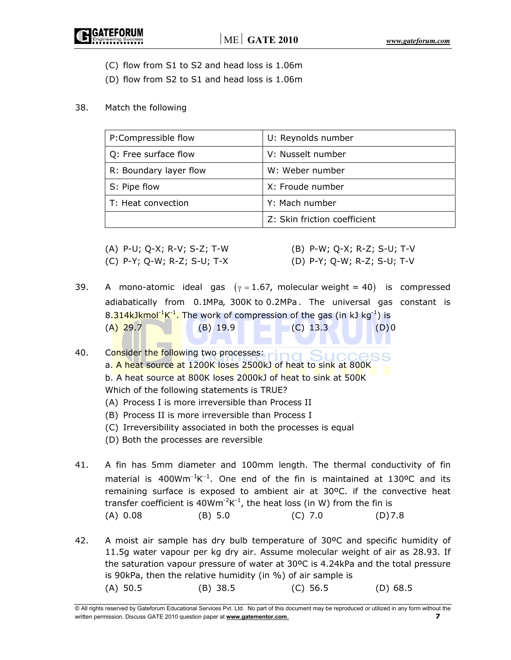(C) flow from S1 to S2 and head loss is 1.06m

(D) flow from S2 to S1 and head loss is 1.06m

#### 38. Match the following

| P:Compressible flow    | U: Reynolds number           |
|------------------------|------------------------------|
| Q: Free surface flow   | V: Nusselt number            |
| R: Boundary layer flow | W: Weber number              |
| S: Pipe flow           | X: Froude number             |
| T: Heat convection     | Y: Mach number               |
|                        | Z: Skin friction coefficient |

(A) P-U; Q-X; R-V; S-Z; T-W (B) P-W; Q-X; R-Z; S-U; T-V

- 
- 
- (C) P-Y; Q-W; R-Z; S-U; T-X (D) P-Y; Q-W; R-Z; S-U; T-V
- 39. A mono-atomic ideal gas  $(\gamma = 1.67,$  molecular weight = 40) is compressed adiabatically from 0.1MPa, 300K to 0.2MPa . The universal gas constant is 8.314kJkmol<sup>-1</sup>K<sup>-1</sup>. The work of compression of the gas (in kJ kg<sup>-1</sup>) is  $(A)$  29.7 (B) 19.9 (C) 13.3 (D) 0

40. Consider the following two processes: a. A heat source at 1200K loses 2500kJ of heat to sink at 800K b. A heat source at 800K loses 2000kJ of heat to sink at 500K Which of the following statements is TRUE?

- (A) Process I is more irreversible than Process II
- (B) Process II is more irreversible than Process I
- (C) Irreversibility associated in both the processes is equal
- (D) Both the processes are reversible
- 41. A fin has 5mm diameter and 100mm length. The thermal conductivity of fin material is  $400Wm^{-1}K^{-1}$ . One end of the fin is maintained at 130°C and its remaining surface is exposed to ambient air at 30ºC. if the convective heat transfer coefficient is  $40Wm<sup>-2</sup>K<sup>-1</sup>$ , the heat loss (in W) from the fin is (A) 0.08 (B) 5.0 (C) 7.0 (D) 7.8
- 42. A moist air sample has dry bulb temperature of 30ºC and specific humidity of 11.5g water vapour per kg dry air. Assume molecular weight of air as 28.93. If the saturation vapour pressure of water at 30ºC is 4.24kPa and the total pressure is 90kPa, then the relative humidity (in %) of air sample is (A) 50.5 (B) 38.5 (C) 56.5 (D) 68.5

<sup>©</sup> All rights reserved by Gateforum Educational Services Pvt. Ltd. No part of this document may be reproduced or utilized in any form without the written permission. Discuss GATE 2010 question paper at **www.gatementor.com**. **7**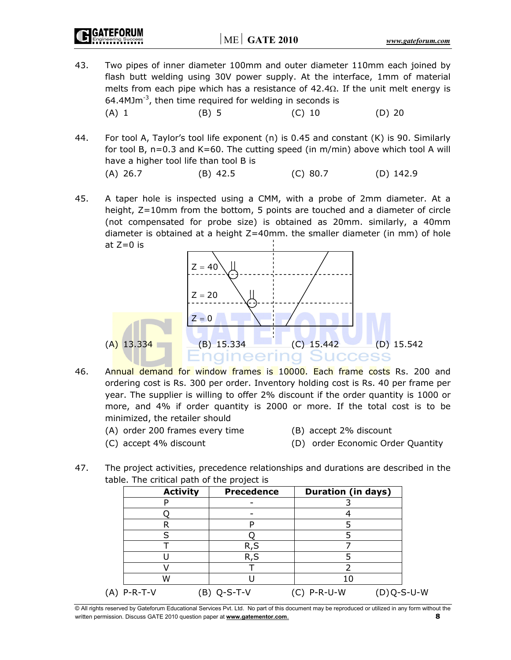**GATEFORUM** 

- 43. Two pipes of inner diameter 100mm and outer diameter 110mm each joined by flash butt welding using 30V power supply. At the interface, 1mm of material melts from each pipe which has a resistance of  $42.4\Omega$ . If the unit melt energy is 64.4MJ $m<sup>-3</sup>$ , then time required for welding in seconds is (A) 1 (B) 5 (C) 10 (D) 20
- 44. For tool A, Taylor's tool life exponent (n) is 0.45 and constant (K) is 90. Similarly for tool B, n=0.3 and K=60. The cutting speed (in m/min) above which tool A will have a higher tool life than tool B is (A) 26.7 (B) 42.5 (C) 80.7 (D) 142.9
- 45. A taper hole is inspected using a CMM, with a probe of 2mm diameter. At a height, Z=10mm from the bottom, 5 points are touched and a diameter of circle (not compensated for probe size) is obtained as 20mm. similarly, a 40mm diameter is obtained at a height Z=40mm. the smaller diameter (in mm) of hole at Z=0 is



- 46. Annual demand for window frames is 10000. Each frame costs Rs. 200 and ordering cost is Rs. 300 per order. Inventory holding cost is Rs. 40 per frame per year. The supplier is willing to offer 2% discount if the order quantity is 1000 or more, and 4% if order quantity is 2000 or more. If the total cost is to be minimized, the retailer should
	- (A) order 200 frames every time (B) accept 2% discount
	-
- 
- (C) accept 4% discount (D) order Economic Order Quantity
- 47. The project activities, precedence relationships and durations are described in the table. The critical path of the project is

|             | <b>Activity</b> | <b>Precedence</b> | <b>Duration (in days)</b> |              |
|-------------|-----------------|-------------------|---------------------------|--------------|
|             |                 |                   |                           |              |
|             |                 |                   |                           |              |
|             |                 |                   |                           |              |
|             |                 |                   |                           |              |
|             |                 | R, S              |                           |              |
|             |                 | R,S               |                           |              |
|             |                 |                   |                           |              |
| W           |                 |                   |                           |              |
| (A) P-R-T-V |                 | (B) Q-S-T-V       | C) P-R-U-W                | $(D)Q-S-U-W$ |

© All rights reserved by Gateforum Educational Services Pvt. Ltd. No part of this document may be reproduced or utilized in any form without the written permission. Discuss GATE 2010 question paper at **www.gatementor.com**. **8**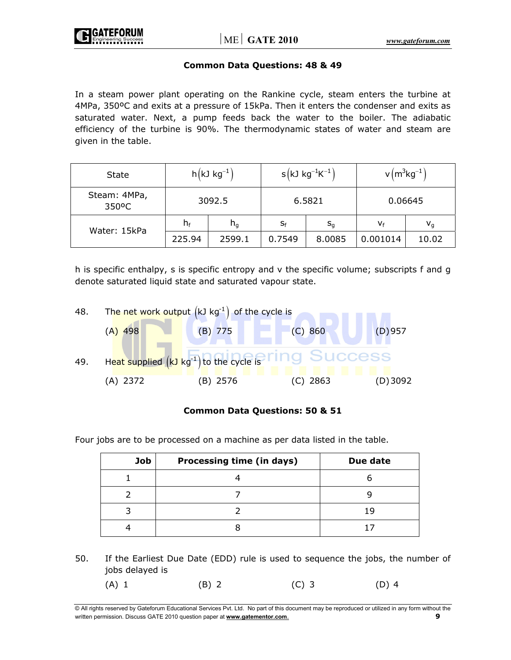

#### **Common Data Questions: 48 & 49**

In a steam power plant operating on the Rankine cycle, steam enters the turbine at 4MPa, 350ºC and exits at a pressure of 15kPa. Then it enters the condenser and exits as saturated water. Next, a pump feeds back the water to the boiler. The adiabatic efficiency of the turbine is 90%. The thermodynamic states of water and steam are given in the table.

| <b>State</b>          | $h(kJ kg^{-1})$ |         | $s(kJ kg^{-1}K^{-1})$ |         | $v(m^3kg^{-1})$ |                         |
|-----------------------|-----------------|---------|-----------------------|---------|-----------------|-------------------------|
| Steam: 4MPa,<br>350°C |                 | 3092.5  | 6.5821                |         | 0.06645         |                         |
| Water: 15kPa          | $h_f$           | $n_{q}$ | $S_f$                 | $S_{q}$ | Vf              | $\mathsf{v}_\mathsf{q}$ |
|                       | 225.94          | 2599.1  | 0.7549                | 8.0085  | 0.001014        | 10.02                   |

h is specific enthalpy, s is specific entropy and v the specific volume; subscripts f and g denote saturated liquid state and saturated vapour state.



## **Common Data Questions: 50 & 51**

Four jobs are to be processed on a machine as per data listed in the table.

| <b>Job</b> | Processing time (in days) | Due date |
|------------|---------------------------|----------|
|            |                           |          |
|            |                           |          |
|            |                           | 1 C      |
|            |                           |          |

50. If the Earliest Due Date (EDD) rule is used to sequence the jobs, the number of jobs delayed is

(A) 1 (B) 2 (C) 3 (D) 4

<sup>©</sup> All rights reserved by Gateforum Educational Services Pvt. Ltd. No part of this document may be reproduced or utilized in any form without the written permission. Discuss GATE 2010 question paper at **www.gatementor.com**. **9**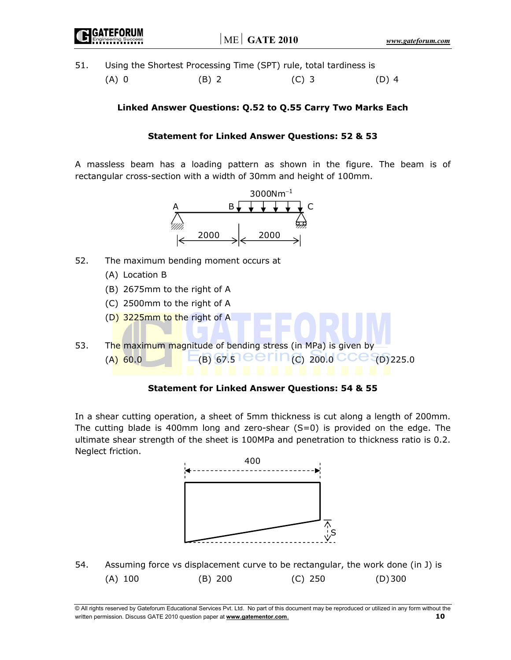51. Using the Shortest Processing Time (SPT) rule, total tardiness is

(A) 0 (B) 2 (C) 3 (D) 4

# **Linked Answer Questions: Q.52 to Q.55 Carry Two Marks Each**

# **Statement for Linked Answer Questions: 52 & 53**

A massless beam has a loading pattern as shown in the figure. The beam is of rectangular cross-section with a width of 30mm and height of 100mm.



- 52. The maximum bending moment occurs at
	- (A) Location B
	- (B) 2675mm to the right of A
	- (C) 2500mm to the right of A
	- (D) 3225mm to the right of A
- 53. The maximum magnitude of bending stress (in MPa) is given by (A) 60.0  $\Box$  (B) 67.5 **CCILC** 200.0 CCC (D) 225.0

## **Statement for Linked Answer Questions: 54 & 55**

In a shear cutting operation, a sheet of 5mm thickness is cut along a length of 200mm. The cutting blade is 400mm long and zero-shear  $(S=0)$  is provided on the edge. The ultimate shear strength of the sheet is 100MPa and penetration to thickness ratio is 0.2. Neglect friction.



54. Assuming force vs displacement curve to be rectangular, the work done (in J) is (A) 100 (B) 200 (C) 250 (D) 300

© All rights reserved by Gateforum Educational Services Pvt. Ltd. No part of this document may be reproduced or utilized in any form without the written permission. Discuss GATE 2010 question paper at **www.gatementor.com**. **10**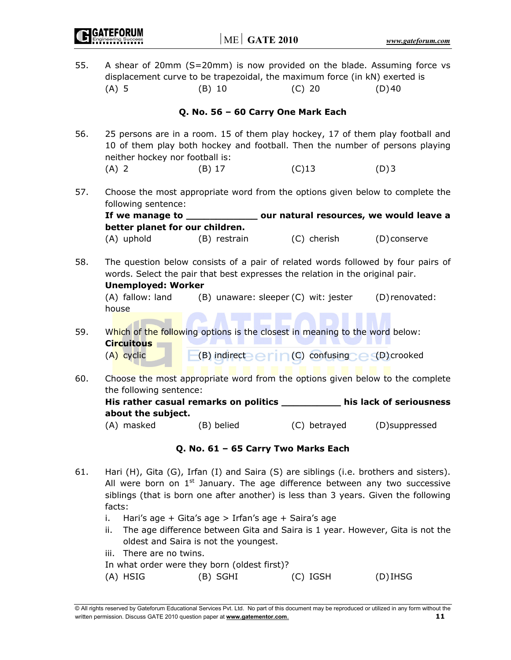| 55. | $(A)$ 5                                                                                                                                                                                        | $(B)$ 10                            | A shear of 20mm (S=20mm) is now provided on the blade. Assuming force vs<br>displacement curve to be trapezoidal, the maximum force (in kN) exerted is<br>$(C)$ 20 | (D)40          |  |  |  |
|-----|------------------------------------------------------------------------------------------------------------------------------------------------------------------------------------------------|-------------------------------------|--------------------------------------------------------------------------------------------------------------------------------------------------------------------|----------------|--|--|--|
|     |                                                                                                                                                                                                | Q. No. 56 - 60 Carry One Mark Each  |                                                                                                                                                                    |                |  |  |  |
| 56. | neither hockey nor football is:                                                                                                                                                                |                                     | 25 persons are in a room. 15 of them play hockey, 17 of them play football and<br>10 of them play both hockey and football. Then the number of persons playing     |                |  |  |  |
|     | $(A)$ 2                                                                                                                                                                                        | $(B)$ 17                            | $(C)$ 13                                                                                                                                                           | (D)3           |  |  |  |
| 57. | following sentence:                                                                                                                                                                            |                                     | Choose the most appropriate word from the options given below to complete the                                                                                      |                |  |  |  |
|     | If we manage to __<br>better planet for our children.                                                                                                                                          |                                     | our natural resources, we would leave a                                                                                                                            |                |  |  |  |
|     | (A) uphold                                                                                                                                                                                     | (B) restrain                        | (C) cherish                                                                                                                                                        | (D) conserve   |  |  |  |
| 58. | The question below consists of a pair of related words followed by four pairs of<br>words. Select the pair that best expresses the relation in the original pair.<br><b>Unemployed: Worker</b> |                                     |                                                                                                                                                                    |                |  |  |  |
|     | (A) fallow: land<br>house                                                                                                                                                                      |                                     | (B) unaware: sleeper (C) wit: jester                                                                                                                               | (D) renovated: |  |  |  |
| 59. | <b>Circuitous</b><br>(A) cyclic                                                                                                                                                                |                                     | Which of the following options is the closest in meaning to the word below:<br>(B) indirect $\ominus$ r in (C) confusing $\ominus$ (D) crooked                     |                |  |  |  |
| 60. | the following sentence:                                                                                                                                                                        |                                     | Choose the most appropriate word from the options given below to the complete                                                                                      |                |  |  |  |
|     | about the subject.                                                                                                                                                                             |                                     | His rather casual remarks on politics __________ his lack of seriousness                                                                                           |                |  |  |  |
|     | (A) masked                                                                                                                                                                                     | (B) belied                          | (C) betrayed                                                                                                                                                       | (D)suppressed  |  |  |  |
|     |                                                                                                                                                                                                | Q. No. 61 - 65 Carry Two Marks Each |                                                                                                                                                                    |                |  |  |  |
| C 1 |                                                                                                                                                                                                |                                     | $\lim_{n}$ $(1)$ $C$ its $(C)$ Isfan $(1)$ and $C$ aiso $(C)$ associations $(1)$ a beathouse and sistant)                                                          |                |  |  |  |

- 61. Hari (H), Gita (G), Irfan (I) and Saira (S) are siblings (i.e. brothers and sisters). All were born on  $1<sup>st</sup>$  January. The age difference between any two successive siblings (that is born one after another) is less than 3 years. Given the following facts:
	- i. Hari's age + Gita's age > Irfan's age + Saira's age
	- ii. The age difference between Gita and Saira is 1 year. However, Gita is not the oldest and Saira is not the youngest.
	- iii. There are no twins.
	- In what order were they born (oldest first)?

| (D)IHSG    |
|------------|
| $(C)$ IGSH |

<sup>©</sup> All rights reserved by Gateforum Educational Services Pvt. Ltd. No part of this document may be reproduced or utilized in any form without the written permission. Discuss GATE 2010 question paper at **www.gatementor.com**. **11**